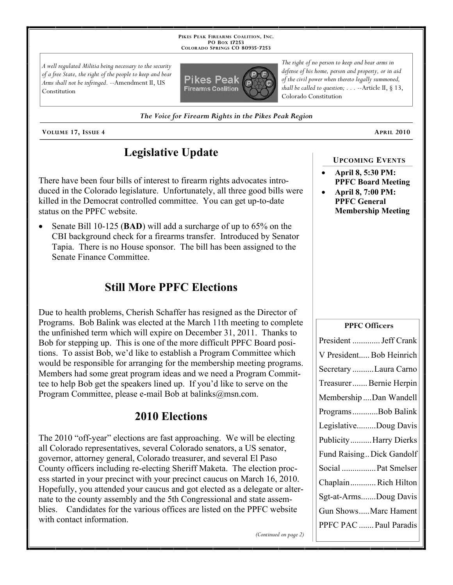**PIKES PEAK FIREARMS COALITION, INC. PO BOX 17253 COLORADO SPRINGS CO 80935 -7253**

*A well regulated Militia being necessary to the security of a free State, the right of the people to keep and bear Arms shall not be infringed.* --Amendment II, US Constitution



*The right of no person to keep and bear arms in defense of his home, person and property, or in aid of the civil power when thereto legally summoned, shall be called to question; . . .* --Article II, § 13, Colorado Constitution

*The Voice for Firearm Rights in the Pikes Peak Region*

**VOLUME 17, ISSUE 4 APRIL 2010**

## **Legislative Update**

There have been four bills of interest to firearm rights advocates introduced in the Colorado legislature. Unfortunately, all three good bills were killed in the Democrat controlled committee. You can get up-to-date status on the PPFC website.

 Senate Bill 10-125 (**BAD**) will add a surcharge of up to 65% on the CBI background check for a firearms transfer. Introduced by Senator Tapia. There is no House sponsor. The bill has been assigned to the Senate Finance Committee.

## **Still More PPFC Elections**

Due to health problems, Cherish Schaffer has resigned as the Director of Programs. Bob Balink was elected at the March 11th meeting to complete the unfinished term which will expire on December 31, 2011. Thanks to Bob for stepping up. This is one of the more difficult PPFC Board positions. To assist Bob, we'd like to establish a Program Committee which would be responsible for arranging for the membership meeting programs. Members had some great program ideas and we need a Program Committee to help Bob get the speakers lined up. If you'd like to serve on the Program Committee, please e-mail Bob at balinks@msn.com.

#### **2010 Elections**

The 2010 "off-year" elections are fast approaching. We will be electing all Colorado representatives, several Colorado senators, a US senator, governor, attorney general, Colorado treasurer, and several El Paso County officers including re-electing Sheriff Maketa. The election process started in your precinct with your precinct caucus on March 16, 2010. Hopefully, you attended your caucus and got elected as a delegate or alternate to the county assembly and the 5th Congressional and state assemblies. Candidates for the various offices are listed on the PPFC website with contact information.

*(Continued on page 2)*

#### **UPCOMING EVENTS**

- **April 8, 5:30 PM: PPFC Board Meeting**
- **April 8, 7:00 PM: PPFC General Membership Meeting**

# President ............. Jeff Crank V President..... Bob Heinrich Secretary ..........Laura Carno Treasurer....... Bernie Herpin Membership ....Dan Wandell Programs............Bob Balink Legislative.........Doug Davis Publicity..........Harry Dierks Fund Raising.. Dick Gandolf

**PPFC Officers**

| ChaplainRich Hilton    |
|------------------------|
| Sgt-at-ArmsDoug Davis  |
| Gun ShowsMarc Hament   |
| PPFC PAC  Paul Paradis |